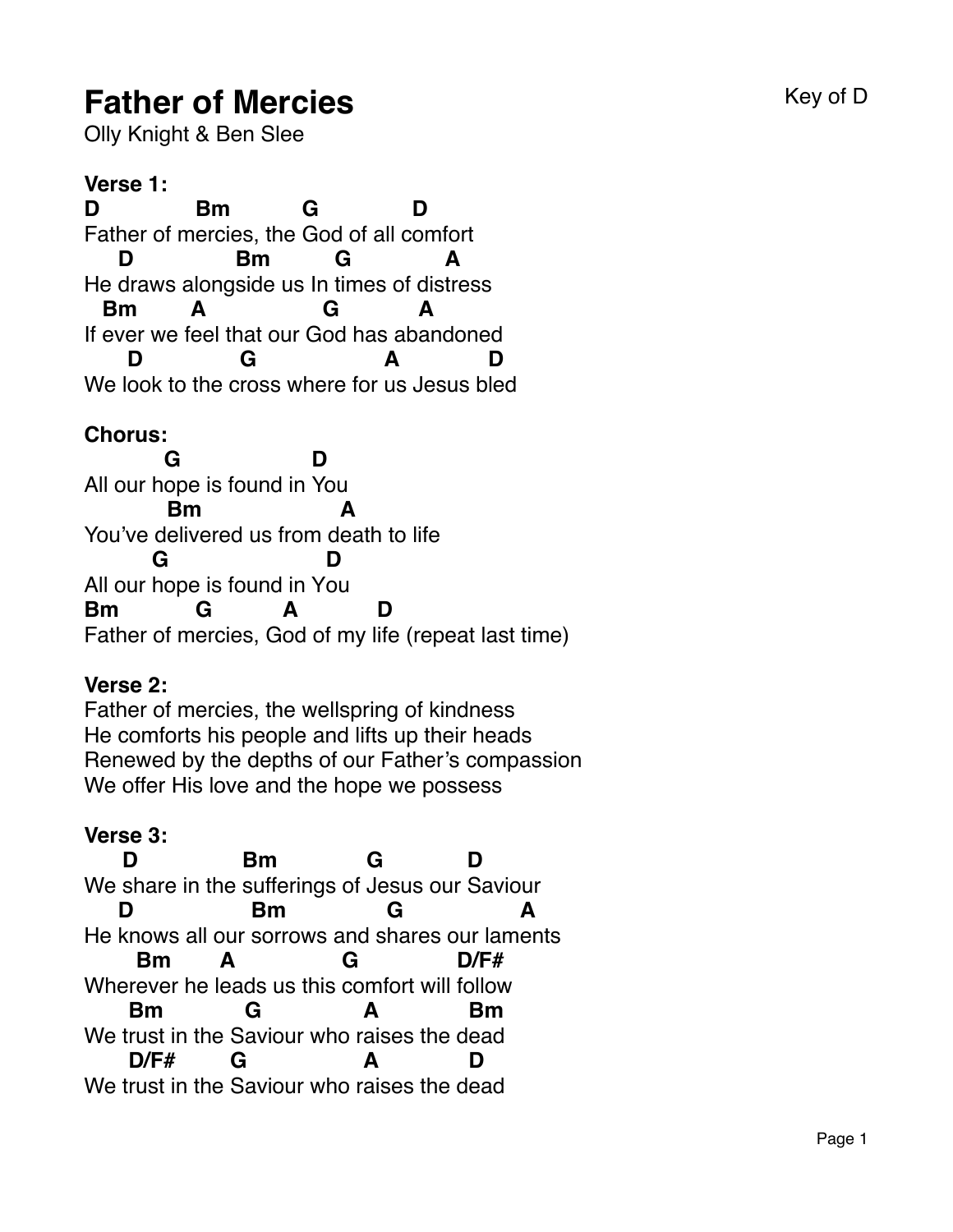# **Father of Mercies Father of Mercies**

Olly Knight & Ben Slee

**Verse 1: D** Father of m ercies, the God of all c omfort **Bm G D** He draws along side us In times of dis tress **D Bm G A** If ever we feel that our God has abandoned **Bm A G A** We l ook to the c ross where for us Jesus b led **D G A D**

### **Chorus:**

All our h ope is found in You **G D** You've delivered us from death to life **Bm A** All our hope is found in Y ou **G D Bm** Father of mercies, God of my life (repeat last time) **G A D**

#### **Verse 2:**

Father of mercies, the wellspring of kindness He comforts his people and lifts up their heads Renewed by the depths of our Father's compassion We offer His love and the hope we possess

#### **Verse 3:**

We share in the sufferings of Jesus our Saviour **D Bm G D** He knows all our sorrows and s hares our lam ents **D Bm G A** Wher ever he l eads us this comfort will follow **Bm A G D/F#** We t rust in the S aviour who r aises the d ead **Bm G A Bm** We t rust in the Saviour who r aises the d ead**D/F# G A D**